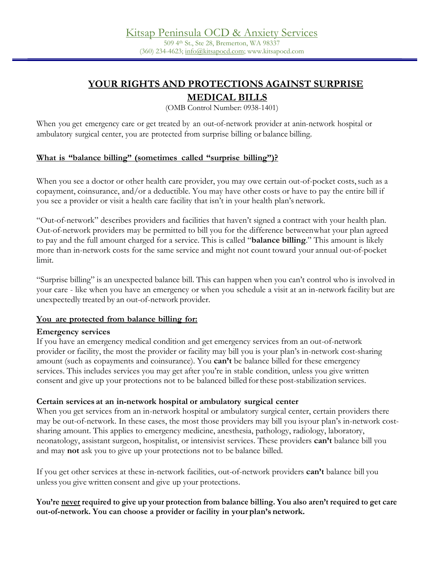# **YOUR RIGHTS AND PROTECTIONS AGAINST SURPRISE**

## **MEDICAL BILLS**

(OMB Control Number: 0938-1401)

When you get emergency care or get treated by an out-of-network provider at anin-network hospital or ambulatory surgical center, you are protected from surprise billing or balance billing.

## **What is "balance billing" (sometimes called "surprise billing")?**

When you see a doctor or other health care provider, you may owe certain out-of-pocket costs, such as a copayment, coinsurance, and/or a deductible. You may have other costs or have to pay the entire bill if you see a provider or visit a health care facility that isn't in your health plan's network.

"Out-of-network" describes providers and facilities that haven't signed a contract with your health plan. Out-of-network providers may be permitted to bill you for the difference betweenwhat your plan agreed to pay and the full amount charged for a service. This is called "**balance billing**." This amount is likely more than in-network costs for the same service and might not count toward your annual out-of-pocket limit.

"Surprise billing" is an unexpected balance bill. This can happen when you can't control who is involved in your care - like when you have an emergency or when you schedule a visit at an in-network facility but are unexpectedly treated by an out-of-network provider.

## **You are protected from balance billing for:**

#### **Emergency services**

If you have an emergency medical condition and get emergency services from an out-of-network provider or facility, the most the provider or facility may bill you is your plan's in-network cost-sharing amount (such as copayments and coinsurance). You **can't** be balance billed for these emergency services. This includes services you may get after you're in stable condition, unless you give written consent and give up your protections not to be balanced billed forthese post-stabilization services.

## **Certain services at an in-network hospital or ambulatory surgical center**

When you get services from an in-network hospital or ambulatory surgical center, certain providers there may be out-of-network. In these cases, the most those providers may bill you isyour plan's in-network costsharing amount. This applies to emergency medicine, anesthesia, pathology, radiology, laboratory, neonatology, assistant surgeon, hospitalist, or intensivist services. These providers **can't** balance bill you and may **not** ask you to give up your protections not to be balance billed.

If you get other services at these in-network facilities, out-of-network providers **can't** balance bill you unless you give written consent and give up your protections.

#### **You're never required to give up your protection from balance billing. You also aren't required to get care out-of-network. You can choose a provider or facility in your plan's network.**